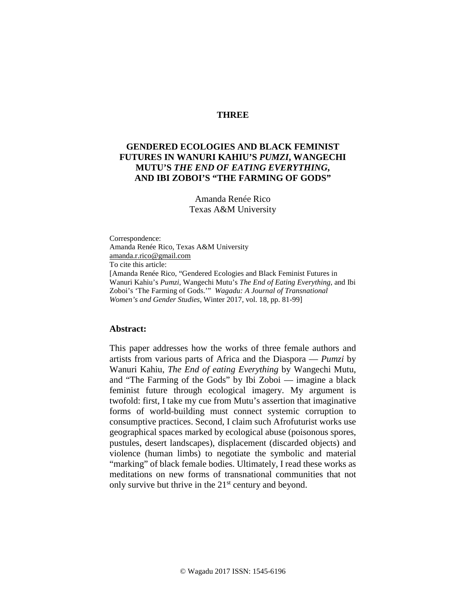# **THREE**

# **GENDERED ECOLOGIES AND BLACK FEMINIST FUTURES IN WANURI KAHIU'S** *PUMZI***, WANGECHI MUTU'S** *THE END OF EATING EVERYTHING***, AND IBI ZOBOI'S "THE FARMING OF GODS"**

Amanda Renée Rico Texas A&M University

Correspondence: Amanda Renée Rico, Texas A&M University [amanda.r.rico@gmail.com](mailto:amanda.r.rico@gmail.com) To cite this article: [Amanda Renée Rico, "Gendered Ecologies and Black Feminist Futures in Wanuri Kahiu's *Pumzi*, Wangechi Mutu's *The End of Eating Everything*, and Ibi Zoboi's 'The Farming of Gods.'" *Wagadu: A Journal of Transnational Women's and Gender Studies*, Winter 2017, vol. 18, pp. 81-99]

### **Abstract:**

This paper addresses how the works of three female authors and artists from various parts of Africa and the Diaspora — *Pumzi* by Wanuri Kahiu, *The End of eating Everything* by Wangechi Mutu, and "The Farming of the Gods" by Ibi Zoboi — imagine a black feminist future through ecological imagery. My argument is twofold: first, I take my cue from Mutu's assertion that imaginative forms of world-building must connect systemic corruption to consumptive practices. Second, I claim such Afrofuturist works use geographical spaces marked by ecological abuse (poisonous spores, pustules, desert landscapes), displacement (discarded objects) and violence (human limbs) to negotiate the symbolic and material "marking" of black female bodies. Ultimately, I read these works as meditations on new forms of transnational communities that not only survive but thrive in the  $21<sup>st</sup>$  century and beyond.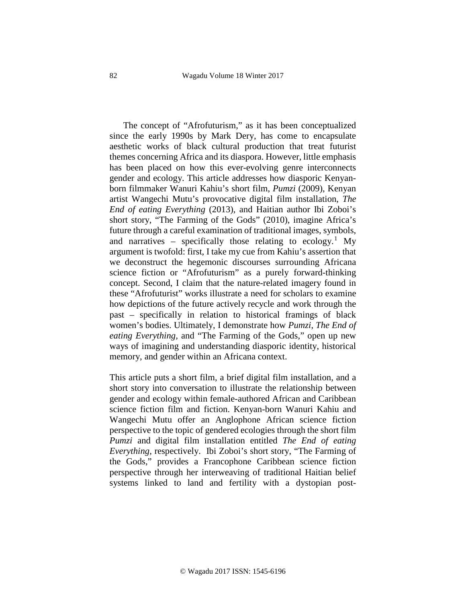The concept of "Afrofuturism," as it has been conceptualized since the early 1990s by Mark Dery, has come to encapsulate aesthetic works of black cultural production that treat futurist themes concerning Africa and its diaspora. However, little emphasis has been placed on how this ever-evolving genre interconnects gender and ecology. This article addresses how diasporic Kenyanborn filmmaker Wanuri Kahiu's short film, *Pumzi* (2009), Kenyan artist Wangechi Mutu's provocative digital film installation, *The End of eating Everything* (2013), and Haitian author Ibi Zoboi's short story, "The Farming of the Gods" (2010), imagine Africa's future through a careful examination of traditional images, symbols, and narratives – specifically those relating to ecology.<sup>[1](#page-18-0)</sup> My argument is twofold: first, I take my cue from Kahiu's assertion that we deconstruct the hegemonic discourses surrounding Africana science fiction or "Afrofuturism" as a purely forward-thinking concept. Second, I claim that the nature-related imagery found in these "Afrofuturist" works illustrate a need for scholars to examine how depictions of the future actively recycle and work through the past – specifically in relation to historical framings of black women's bodies. Ultimately, I demonstrate how *Pumzi*, *The End of eating Everything,* and "The Farming of the Gods," open up new ways of imagining and understanding diasporic identity, historical memory, and gender within an Africana context.

This article puts a short film, a brief digital film installation, and a short story into conversation to illustrate the relationship between gender and ecology within female-authored African and Caribbean science fiction film and fiction. Kenyan-born Wanuri Kahiu and Wangechi Mutu offer an Anglophone African science fiction perspective to the topic of gendered ecologies through the short film *Pumzi* and digital film installation entitled *The End of eating Everything*, respectively. Ibi Zoboi's short story, "The Farming of the Gods," provides a Francophone Caribbean science fiction perspective through her interweaving of traditional Haitian belief systems linked to land and fertility with a dystopian post-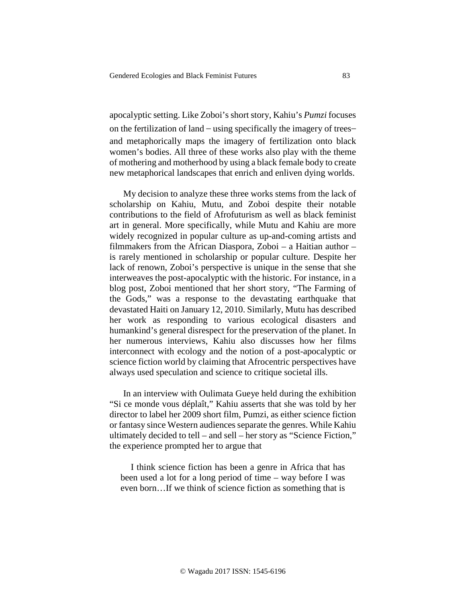apocalyptic setting. Like Zoboi's short story, Kahiu's *Pumzi* focuses on the fertilization of land – using specifically the imagery of trees– and metaphorically maps the imagery of fertilization onto black women's bodies. All three of these works also play with the theme of mothering and motherhood by using a black female body to create new metaphorical landscapes that enrich and enliven dying worlds.

My decision to analyze these three works stems from the lack of scholarship on Kahiu, Mutu, and Zoboi despite their notable contributions to the field of Afrofuturism as well as black feminist art in general. More specifically, while Mutu and Kahiu are more widely recognized in popular culture as up-and-coming artists and filmmakers from the African Diaspora, Zoboi – a Haitian author – is rarely mentioned in scholarship or popular culture. Despite her lack of renown, Zoboi's perspective is unique in the sense that she interweaves the post-apocalyptic with the historic. For instance, in a blog post, Zoboi mentioned that her short story, "The Farming of the Gods," was a response to the devastating earthquake that devastated Haiti on January 12, 2010. Similarly, Mutu has described her work as responding to various ecological disasters and humankind's general disrespect for the preservation of the planet. In her numerous interviews, Kahiu also discusses how her films interconnect with ecology and the notion of a post-apocalyptic or science fiction world by claiming that Afrocentric perspectives have always used speculation and science to critique societal ills.

In an interview with Oulimata Gueye held during the exhibition "Si ce monde vous déplaît," Kahiu asserts that she was told by her director to label her 2009 short film, Pumzi, as either science fiction or fantasy since Western audiences separate the genres. While Kahiu ultimately decided to tell – and sell – her story as "Science Fiction," the experience prompted her to argue that

I think science fiction has been a genre in Africa that has been used a lot for a long period of time – way before I was even born…If we think of science fiction as something that is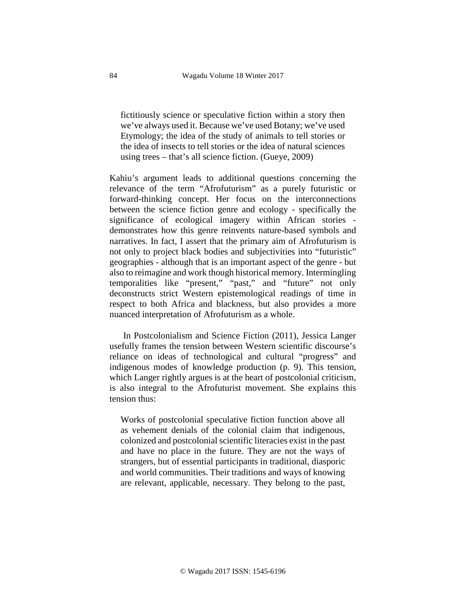fictitiously science or speculative fiction within a story then we've always used it. Because we've used Botany; we've used Etymology; the idea of the study of animals to tell stories or the idea of insects to tell stories or the idea of natural sciences using trees – that's all science fiction. (Gueye, 2009)

Kahiu's argument leads to additional questions concerning the relevance of the term "Afrofuturism" as a purely futuristic or forward-thinking concept. Her focus on the interconnections between the science fiction genre and ecology - specifically the significance of ecological imagery within African stories demonstrates how this genre reinvents nature-based symbols and narratives. In fact, I assert that the primary aim of Afrofuturism is not only to project black bodies and subjectivities into "futuristic" geographies - although that is an important aspect of the genre - but also to reimagine and work though historical memory. Intermingling temporalities like "present," "past," and "future" not only deconstructs strict Western epistemological readings of time in respect to both Africa and blackness, but also provides a more nuanced interpretation of Afrofuturism as a whole.

In Postcolonialism and Science Fiction (2011), Jessica Langer usefully frames the tension between Western scientific discourse's reliance on ideas of technological and cultural "progress" and indigenous modes of knowledge production (p. 9). This tension, which Langer rightly argues is at the heart of postcolonial criticism, is also integral to the Afrofuturist movement. She explains this tension thus:

Works of postcolonial speculative fiction function above all as vehement denials of the colonial claim that indigenous, colonized and postcolonial scientific literacies exist in the past and have no place in the future. They are not the ways of strangers, but of essential participants in traditional, diasporic and world communities. Their traditions and ways of knowing are relevant, applicable, necessary. They belong to the past,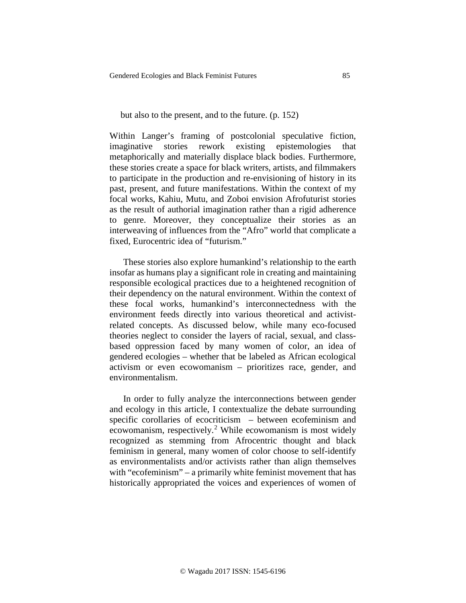#### but also to the present, and to the future. (p. 152)

Within Langer's framing of postcolonial speculative fiction, imaginative stories rework existing epistemologies that metaphorically and materially displace black bodies. Furthermore, these stories create a space for black writers, artists, and filmmakers to participate in the production and re-envisioning of history in its past, present, and future manifestations. Within the context of my focal works, Kahiu, Mutu, and Zoboi envision Afrofuturist stories as the result of authorial imagination rather than a rigid adherence to genre. Moreover, they conceptualize their stories as an interweaving of influences from the "Afro" world that complicate a fixed, Eurocentric idea of "futurism."

These stories also explore humankind's relationship to the earth insofar as humans play a significant role in creating and maintaining responsible ecological practices due to a heightened recognition of their dependency on the natural environment. Within the context of these focal works, humankind's interconnectedness with the environment feeds directly into various theoretical and activistrelated concepts. As discussed below, while many eco-focused theories neglect to consider the layers of racial, sexual, and classbased oppression faced by many women of color, an idea of gendered ecologies – whether that be labeled as African ecological activism or even ecowomanism – prioritizes race, gender, and environmentalism.

In order to fully analyze the interconnections between gender and ecology in this article, I contextualize the debate surrounding specific corollaries of ecocriticism – between ecofeminism and ecowomanism, respectively.[2](#page-18-1) While ecowomanism is most widely recognized as stemming from Afrocentric thought and black feminism in general, many women of color choose to self-identify as environmentalists and/or activists rather than align themselves with "ecofeminism" – a primarily white feminist movement that has historically appropriated the voices and experiences of women of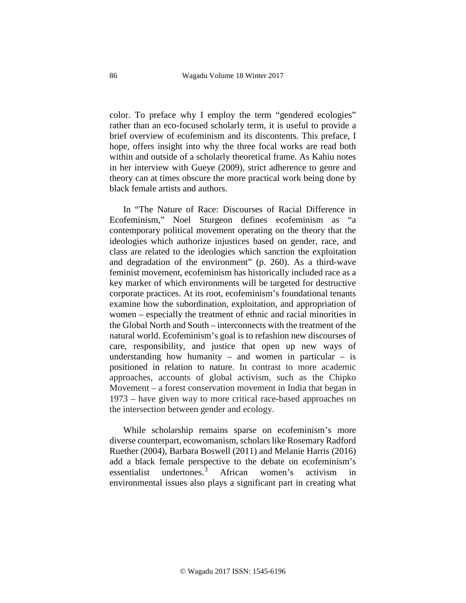color. To preface why I employ the term "gendered ecologies" rather than an eco-focused scholarly term, it is useful to provide a brief overview of ecofeminism and its discontents. This preface, I hope, offers insight into why the three focal works are read both within and outside of a scholarly theoretical frame. As Kahiu notes in her interview with Gueye (2009), strict adherence to genre and theory can at times obscure the more practical work being done by black female artists and authors.

In "The Nature of Race: Discourses of Racial Difference in Ecofeminism," Noel Sturgeon defines ecofeminism as "a contemporary political movement operating on the theory that the ideologies which authorize injustices based on gender, race, and class are related to the ideologies which sanction the exploitation and degradation of the environment" (p. 260). As a third-wave feminist movement, ecofeminism has historically included race as a key marker of which environments will be targeted for destructive corporate practices. At its root, ecofeminism's foundational tenants examine how the subordination, exploitation, and appropriation of women – especially the treatment of ethnic and racial minorities in the Global North and South – interconnects with the treatment of the natural world. Ecofeminism's goal is to refashion new discourses of care, responsibility, and justice that open up new ways of understanding how humanity – and women in particular – is positioned in relation to nature. In contrast to more academic approaches, accounts of global activism, such as the Chipko Movement – a forest conservation movement in India that began in 1973 – have given way to more critical race-based approaches on the intersection between gender and ecology.

While scholarship remains sparse on ecofeminism's more diverse counterpart, ecowomanism, scholars like Rosemary Radford Ruether (2004), Barbara Boswell (2011) and Melanie Harris (2016) add a black female perspective to the debate on ecofeminism's essentialist undertones.<sup>[3](#page-18-2)</sup> African women's activism environmental issues also plays a significant part in creating what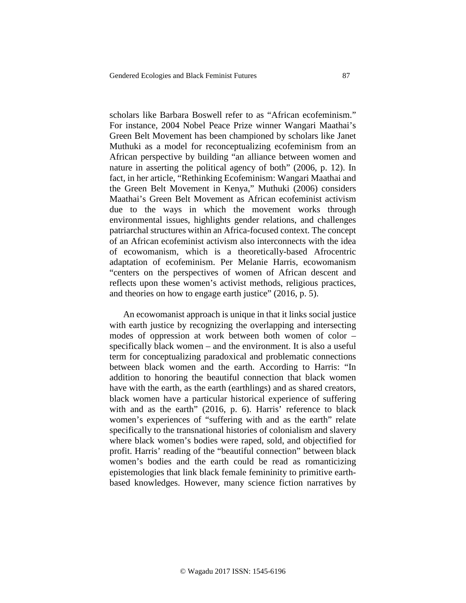scholars like Barbara Boswell refer to as "African ecofeminism." For instance, 2004 Nobel Peace Prize winner Wangari Maathai's Green Belt Movement has been championed by scholars like Janet Muthuki as a model for reconceptualizing ecofeminism from an African perspective by building "an alliance between women and nature in asserting the political agency of both" (2006, p. 12). In fact, in her article, "Rethinking Ecofeminism: Wangari Maathai and the Green Belt Movement in Kenya," Muthuki (2006) considers Maathai's Green Belt Movement as African ecofeminist activism due to the ways in which the movement works through environmental issues, highlights gender relations, and challenges patriarchal structures within an Africa-focused context. The concept of an African ecofeminist activism also interconnects with the idea of ecowomanism, which is a theoretically-based Afrocentric adaptation of ecofeminism. Per Melanie Harris, ecowomanism "centers on the perspectives of women of African descent and reflects upon these women's activist methods, religious practices, and theories on how to engage earth justice" (2016, p. 5).

An ecowomanist approach is unique in that it links social justice with earth justice by recognizing the overlapping and intersecting modes of oppression at work between both women of color – specifically black women – and the environment. It is also a useful term for conceptualizing paradoxical and problematic connections between black women and the earth. According to Harris: "In addition to honoring the beautiful connection that black women have with the earth, as the earth (earthlings) and as shared creators, black women have a particular historical experience of suffering with and as the earth" (2016, p. 6). Harris' reference to black women's experiences of "suffering with and as the earth" relate specifically to the transnational histories of colonialism and slavery where black women's bodies were raped, sold, and objectified for profit. Harris' reading of the "beautiful connection" between black women's bodies and the earth could be read as romanticizing epistemologies that link black female femininity to primitive earthbased knowledges. However, many science fiction narratives by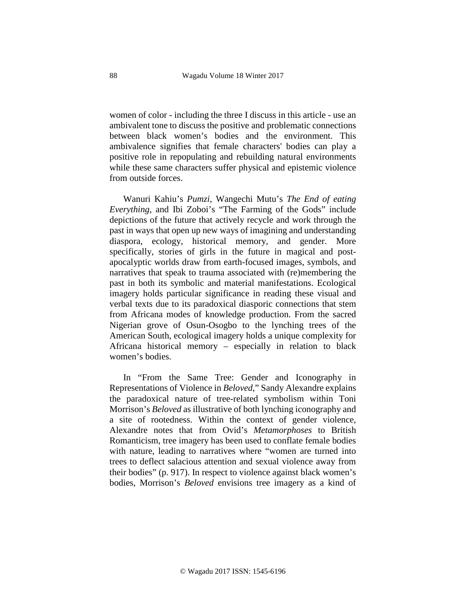women of color - including the three I discuss in this article - use an ambivalent tone to discuss the positive and problematic connections between black women's bodies and the environment. This ambivalence signifies that female characters' bodies can play a positive role in repopulating and rebuilding natural environments while these same characters suffer physical and epistemic violence from outside forces.

Wanuri Kahiu's *Pumzi*, Wangechi Mutu's *The End of eating Everything*, and Ibi Zoboi's "The Farming of the Gods" include depictions of the future that actively recycle and work through the past in ways that open up new ways of imagining and understanding diaspora, ecology, historical memory, and gender. More specifically, stories of girls in the future in magical and postapocalyptic worlds draw from earth-focused images, symbols, and narratives that speak to trauma associated with (re)membering the past in both its symbolic and material manifestations. Ecological imagery holds particular significance in reading these visual and verbal texts due to its paradoxical diasporic connections that stem from Africana modes of knowledge production. From the sacred Nigerian grove of Osun-Osogbo to the lynching trees of the American South, ecological imagery holds a unique complexity for Africana historical memory – especially in relation to black women's bodies.

In "From the Same Tree: Gender and Iconography in Representations of Violence in *Beloved*," Sandy Alexandre explains the paradoxical nature of tree-related symbolism within Toni Morrison's *Beloved* as illustrative of both lynching iconography and a site of rootedness. Within the context of gender violence, Alexandre notes that from Ovid's *Metamorphoses* to British Romanticism, tree imagery has been used to conflate female bodies with nature, leading to narratives where "women are turned into trees to deflect salacious attention and sexual violence away from their bodies" (p. 917). In respect to violence against black women's bodies, Morrison's *Beloved* envisions tree imagery as a kind of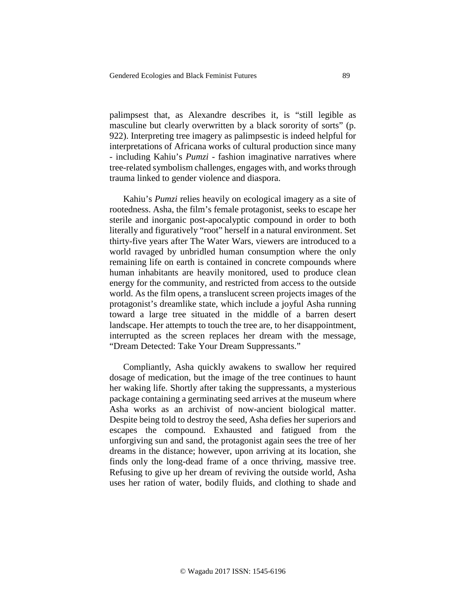palimpsest that, as Alexandre describes it, is "still legible as masculine but clearly overwritten by a black sorority of sorts" (p. 922). Interpreting tree imagery as palimpsestic is indeed helpful for interpretations of Africana works of cultural production since many - including Kahiu's *Pumzi* - fashion imaginative narratives where tree-related symbolism challenges, engages with, and works through trauma linked to gender violence and diaspora.

Kahiu's *Pumzi* relies heavily on ecological imagery as a site of rootedness. Asha, the film's female protagonist, seeks to escape her sterile and inorganic post-apocalyptic compound in order to both literally and figuratively "root" herself in a natural environment. Set thirty-five years after The Water Wars, viewers are introduced to a world ravaged by unbridled human consumption where the only remaining life on earth is contained in concrete compounds where human inhabitants are heavily monitored, used to produce clean energy for the community, and restricted from access to the outside world. As the film opens, a translucent screen projects images of the protagonist's dreamlike state, which include a joyful Asha running toward a large tree situated in the middle of a barren desert landscape. Her attempts to touch the tree are, to her disappointment, interrupted as the screen replaces her dream with the message, "Dream Detected: Take Your Dream Suppressants."

Compliantly, Asha quickly awakens to swallow her required dosage of medication, but the image of the tree continues to haunt her waking life. Shortly after taking the suppressants, a mysterious package containing a germinating seed arrives at the museum where Asha works as an archivist of now-ancient biological matter. Despite being told to destroy the seed, Asha defies her superiors and escapes the compound. Exhausted and fatigued from the unforgiving sun and sand, the protagonist again sees the tree of her dreams in the distance; however, upon arriving at its location, she finds only the long-dead frame of a once thriving, massive tree. Refusing to give up her dream of reviving the outside world, Asha uses her ration of water, bodily fluids, and clothing to shade and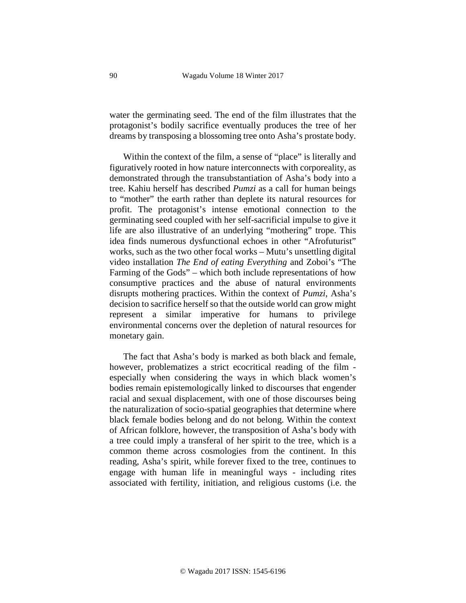water the germinating seed. The end of the film illustrates that the protagonist's bodily sacrifice eventually produces the tree of her dreams by transposing a blossoming tree onto Asha's prostate body.

Within the context of the film, a sense of "place" is literally and figuratively rooted in how nature interconnects with corporeality, as demonstrated through the transubstantiation of Asha's body into a tree. Kahiu herself has described *Pumzi* as a call for human beings to "mother" the earth rather than deplete its natural resources for profit. The protagonist's intense emotional connection to the germinating seed coupled with her self-sacrificial impulse to give it life are also illustrative of an underlying "mothering" trope. This idea finds numerous dysfunctional echoes in other "Afrofuturist" works, such as the two other focal works – Mutu's unsettling digital video installation *The End of eating Everything* and Zoboi's "The Farming of the Gods" – which both include representations of how consumptive practices and the abuse of natural environments disrupts mothering practices. Within the context of *Pumzi*, Asha's decision to sacrifice herself so that the outside world can grow might represent a similar imperative for humans to privilege environmental concerns over the depletion of natural resources for monetary gain.

The fact that Asha's body is marked as both black and female, however, problematizes a strict ecocritical reading of the film especially when considering the ways in which black women's bodies remain epistemologically linked to discourses that engender racial and sexual displacement, with one of those discourses being the naturalization of socio-spatial geographies that determine where black female bodies belong and do not belong. Within the context of African folklore, however, the transposition of Asha's body with a tree could imply a transferal of her spirit to the tree, which is a common theme across cosmologies from the continent. In this reading, Asha's spirit, while forever fixed to the tree, continues to engage with human life in meaningful ways - including rites associated with fertility, initiation, and religious customs (i.e. the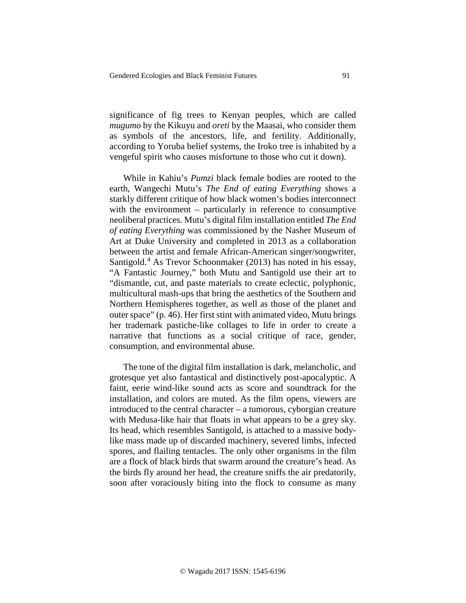significance of fig trees to Kenyan peoples, which are called *mugumo* by the Kikuyu and *oreti* by the Maasai, who consider them as symbols of the ancestors, life, and fertility. Additionally, according to Yoruba belief systems, the Iroko tree is inhabited by a vengeful spirit who causes misfortune to those who cut it down).

While in Kahiu's *Pumzi* black female bodies are rooted to the earth, Wangechi Mutu's *The End of eating Everything* shows a starkly different critique of how black women's bodies interconnect with the environment – particularly in reference to consumptive neoliberal practices. Mutu's digital film installation entitled *The End of eating Everything* was commissioned by the Nasher Museum of Art at Duke University and completed in 2013 as a collaboration between the artist and female African-American singer/songwriter, Santigold.<sup>[4](#page-18-3)</sup> As Trevor Schoonmaker (2013) has noted in his essay, "A Fantastic Journey," both Mutu and Santigold use their art to "dismantle, cut, and paste materials to create eclectic, polyphonic, multicultural mash-ups that bring the aesthetics of the Southern and Northern Hemispheres together, as well as those of the planet and outer space" (p. 46). Her first stint with animated video, Mutu brings her trademark pastiche-like collages to life in order to create a narrative that functions as a social critique of race, gender, consumption, and environmental abuse.

The tone of the digital film installation is dark, melancholic, and grotesque yet also fantastical and distinctively post-apocalyptic. A faint, eerie wind-like sound acts as score and soundtrack for the installation, and colors are muted. As the film opens, viewers are introduced to the central character – a tumorous, cyborgian creature with Medusa-like hair that floats in what appears to be a grey sky. Its head, which resembles Santigold, is attached to a massive bodylike mass made up of discarded machinery, severed limbs, infected spores, and flailing tentacles. The only other organisms in the film are a flock of black birds that swarm around the creature's head. As the birds fly around her head, the creature sniffs the air predatorily, soon after voraciously biting into the flock to consume as many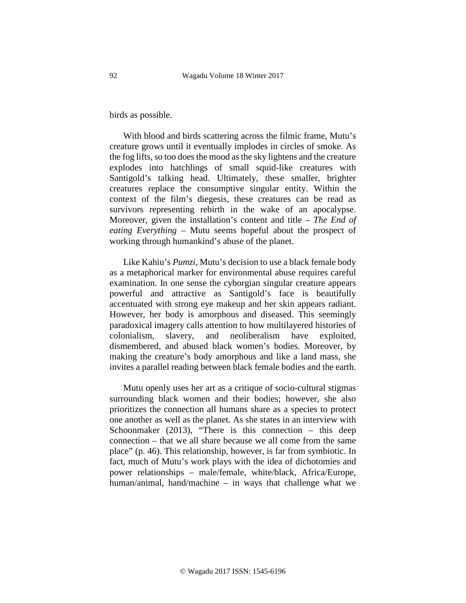birds as possible.

With blood and birds scattering across the filmic frame, Mutu's creature grows until it eventually implodes in circles of smoke. As the fog lifts, so too does the mood as the sky lightens and the creature explodes into hatchlings of small squid-like creatures with Santigold's talking head. Ultimately, these smaller, brighter creatures replace the consumptive singular entity. Within the context of the film's diegesis, these creatures can be read as survivors representing rebirth in the wake of an apocalypse. Moreover, given the installation's content and title – *The End of eating Everything* – Mutu seems hopeful about the prospect of working through humankind's abuse of the planet.

Like Kahiu's *Pumzi*, Mutu's decision to use a black female body as a metaphorical marker for environmental abuse requires careful examination. In one sense the cyborgian singular creature appears powerful and attractive as Santigold's face is beautifully accentuated with strong eye makeup and her skin appears radiant. However, her body is amorphous and diseased. This seemingly paradoxical imagery calls attention to how multilayered histories of colonialism, slavery, and neoliberalism have exploited, dismembered, and abused black women's bodies. Moreover, by making the creature's body amorphous and like a land mass, she invites a parallel reading between black female bodies and the earth.

Mutu openly uses her art as a critique of socio-cultural stigmas surrounding black women and their bodies; however, she also prioritizes the connection all humans share as a species to protect one another as well as the planet. As she states in an interview with Schoonmaker  $(2013)$ , "There is this connection – this deep connection – that we all share because we all come from the same place" (p. 46). This relationship, however, is far from symbiotic. In fact, much of Mutu's work plays with the idea of dichotomies and power relationships – male/female, white/black, Africa/Europe, human/animal, hand/machine – in ways that challenge what we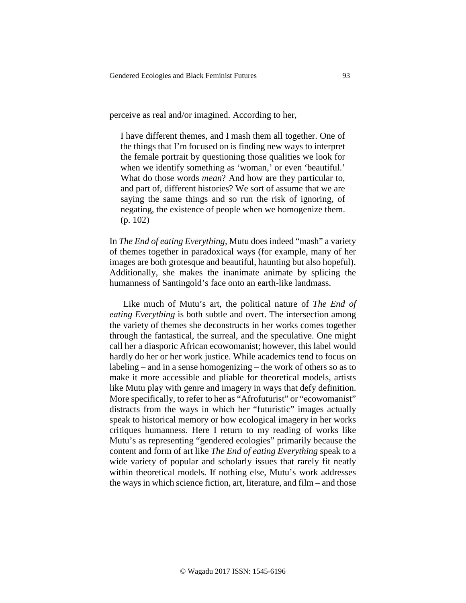perceive as real and/or imagined. According to her,

I have different themes, and I mash them all together. One of the things that I'm focused on is finding new ways to interpret the female portrait by questioning those qualities we look for when we identify something as 'woman,' or even 'beautiful.' What do those words *mean*? And how are they particular to, and part of, different histories? We sort of assume that we are saying the same things and so run the risk of ignoring, of negating, the existence of people when we homogenize them. (p. 102)

In *The End of eating Everything*, Mutu does indeed "mash" a variety of themes together in paradoxical ways (for example, many of her images are both grotesque and beautiful, haunting but also hopeful). Additionally, she makes the inanimate animate by splicing the humanness of Santingold's face onto an earth-like landmass.

Like much of Mutu's art, the political nature of *The End of eating Everything* is both subtle and overt. The intersection among the variety of themes she deconstructs in her works comes together through the fantastical, the surreal, and the speculative. One might call her a diasporic African ecowomanist; however, this label would hardly do her or her work justice. While academics tend to focus on labeling – and in a sense homogenizing – the work of others so as to make it more accessible and pliable for theoretical models, artists like Mutu play with genre and imagery in ways that defy definition. More specifically, to refer to her as "Afrofuturist" or "ecowomanist" distracts from the ways in which her "futuristic" images actually speak to historical memory or how ecological imagery in her works critiques humanness. Here I return to my reading of works like Mutu's as representing "gendered ecologies" primarily because the content and form of art like *The End of eating Everything* speak to a wide variety of popular and scholarly issues that rarely fit neatly within theoretical models. If nothing else, Mutu's work addresses the ways in which science fiction, art, literature, and film – and those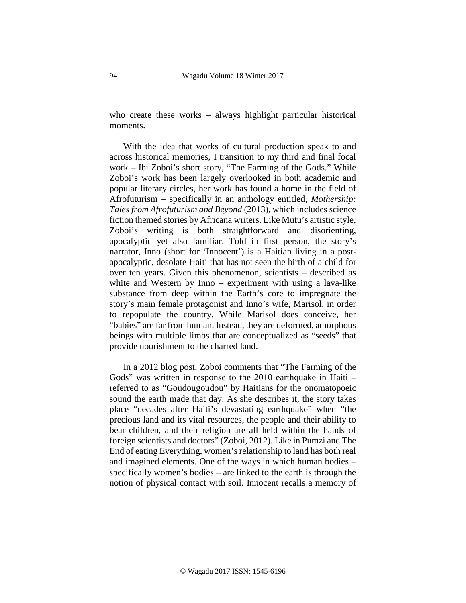who create these works – always highlight particular historical moments.

With the idea that works of cultural production speak to and across historical memories, I transition to my third and final focal work – Ibi Zoboi's short story, "The Farming of the Gods." While Zoboi's work has been largely overlooked in both academic and popular literary circles, her work has found a home in the field of Afrofuturism – specifically in an anthology entitled, *Mothership: Tales from Afrofuturism and Beyond* (2013), which includes science fiction themed stories by Africana writers. Like Mutu's artistic style, Zoboi's writing is both straightforward and disorienting, apocalyptic yet also familiar. Told in first person, the story's narrator, Inno (short for 'Innocent') is a Haitian living in a postapocalyptic, desolate Haiti that has not seen the birth of a child for over ten years. Given this phenomenon, scientists – described as white and Western by Inno – experiment with using a lava-like substance from deep within the Earth's core to impregnate the story's main female protagonist and Inno's wife, Marisol, in order to repopulate the country. While Marisol does conceive, her "babies" are far from human. Instead, they are deformed, amorphous beings with multiple limbs that are conceptualized as "seeds" that provide nourishment to the charred land.

In a 2012 blog post, Zoboi comments that "The Farming of the Gods" was written in response to the 2010 earthquake in Haiti – referred to as "Goudougoudou" by Haitians for the onomatopoeic sound the earth made that day. As she describes it, the story takes place "decades after Haiti's devastating earthquake" when "the precious land and its vital resources, the people and their ability to bear children, and their religion are all held within the hands of foreign scientists and doctors" (Zoboi, 2012). Like in Pumzi and The End of eating Everything, women's relationship to land has both real and imagined elements. One of the ways in which human bodies – specifically women's bodies – are linked to the earth is through the notion of physical contact with soil. Innocent recalls a memory of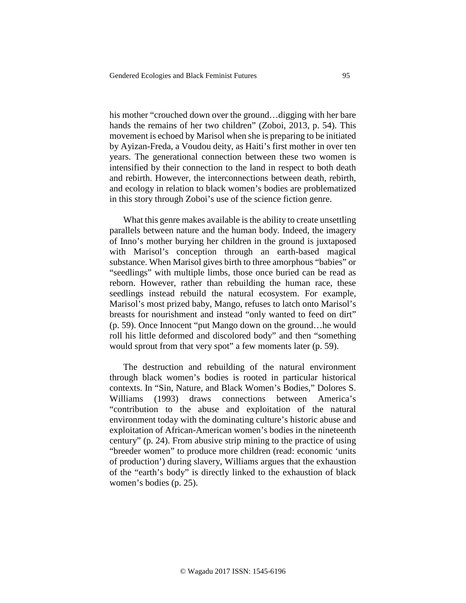his mother "crouched down over the ground... digging with her bare hands the remains of her two children" (Zoboi, 2013, p. 54). This movement is echoed by Marisol when she is preparing to be initiated by Ayizan-Freda, a Voudou deity, as Haiti's first mother in over ten years. The generational connection between these two women is intensified by their connection to the land in respect to both death and rebirth. However, the interconnections between death, rebirth, and ecology in relation to black women's bodies are problematized in this story through Zoboi's use of the science fiction genre.

What this genre makes available is the ability to create unsettling parallels between nature and the human body. Indeed, the imagery of Inno's mother burying her children in the ground is juxtaposed with Marisol's conception through an earth-based magical substance. When Marisol gives birth to three amorphous "babies" or "seedlings" with multiple limbs, those once buried can be read as reborn. However, rather than rebuilding the human race, these seedlings instead rebuild the natural ecosystem. For example, Marisol's most prized baby, Mango, refuses to latch onto Marisol's breasts for nourishment and instead "only wanted to feed on dirt" (p. 59). Once Innocent "put Mango down on the ground…he would roll his little deformed and discolored body" and then "something would sprout from that very spot" a few moments later (p. 59).

The destruction and rebuilding of the natural environment through black women's bodies is rooted in particular historical contexts. In "Sin, Nature, and Black Women's Bodies," Dolores S. Williams (1993) draws connections between America's "contribution to the abuse and exploitation of the natural environment today with the dominating culture's historic abuse and exploitation of African-American women's bodies in the nineteenth century" (p. 24). From abusive strip mining to the practice of using "breeder women" to produce more children (read: economic 'units of production') during slavery, Williams argues that the exhaustion of the "earth's body" is directly linked to the exhaustion of black women's bodies (p. 25).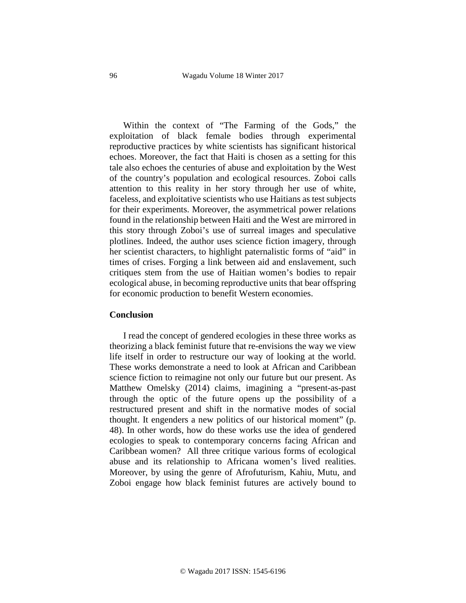Within the context of "The Farming of the Gods," the exploitation of black female bodies through experimental reproductive practices by white scientists has significant historical echoes. Moreover, the fact that Haiti is chosen as a setting for this tale also echoes the centuries of abuse and exploitation by the West of the country's population and ecological resources. Zoboi calls attention to this reality in her story through her use of white, faceless, and exploitative scientists who use Haitians as test subjects for their experiments. Moreover, the asymmetrical power relations found in the relationship between Haiti and the West are mirrored in this story through Zoboi's use of surreal images and speculative plotlines. Indeed, the author uses science fiction imagery, through her scientist characters, to highlight paternalistic forms of "aid" in times of crises. Forging a link between aid and enslavement, such critiques stem from the use of Haitian women's bodies to repair ecological abuse, in becoming reproductive units that bear offspring for economic production to benefit Western economies.

# **Conclusion**

I read the concept of gendered ecologies in these three works as theorizing a black feminist future that re-envisions the way we view life itself in order to restructure our way of looking at the world. These works demonstrate a need to look at African and Caribbean science fiction to reimagine not only our future but our present. As Matthew Omelsky (2014) claims, imagining a "present-as-past through the optic of the future opens up the possibility of a restructured present and shift in the normative modes of social thought. It engenders a new politics of our historical moment" (p. 48). In other words, how do these works use the idea of gendered ecologies to speak to contemporary concerns facing African and Caribbean women? All three critique various forms of ecological abuse and its relationship to Africana women's lived realities. Moreover, by using the genre of Afrofuturism, Kahiu, Mutu, and Zoboi engage how black feminist futures are actively bound to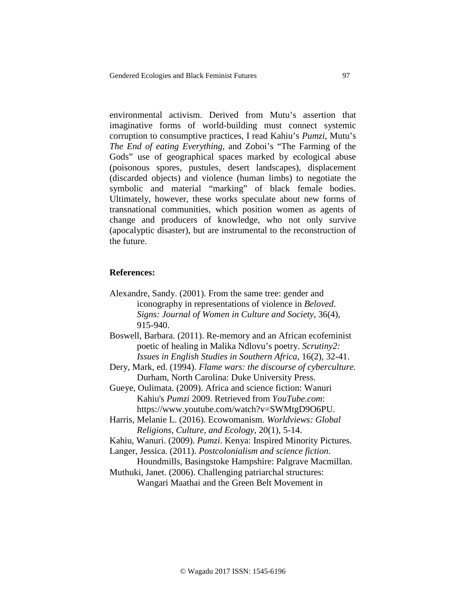environmental activism. Derived from Mutu's assertion that imaginative forms of world-building must connect systemic corruption to consumptive practices, I read Kahiu's *Pumzi*, Mutu's *The End of eating Everything*, and Zoboi's "The Farming of the Gods" use of geographical spaces marked by ecological abuse (poisonous spores, pustules, desert landscapes), displacement (discarded objects) and violence (human limbs) to negotiate the symbolic and material "marking" of black female bodies. Ultimately, however, these works speculate about new forms of transnational communities, which position women as agents of change and producers of knowledge, who not only survive (apocalyptic disaster), but are instrumental to the reconstruction of the future.

## **References:**

- Alexandre, Sandy. (2001). From the same tree: gender and iconography in representations of violence in *Beloved*. *Signs: Journal of Women in Culture and Society*, 36(4), 915-940.
- Boswell, Barbara. (2011). Re-memory and an African ecofeminist poetic of healing in Malika Ndlovu's poetry. *Scrutiny2: Issues in English Studies in Southern Africa*, 16(2), 32-41.
- Dery, Mark, ed. (1994). *Flame wars: the discourse of cyberculture.* Durham, North Carolina: Duke University Press.

Gueye, Oulimata. (2009). Africa and science fiction: Wanuri Kahiu's *Pumzi* 2009. Retrieved from *YouTube.com*: [https://www.youtube.com/watch?v=SWMtgD9O6PU.](https://www.youtube.com/watch?v=SWMtgD9O6PU)

Harris, Melanie L. (2016). Ecowomanism. *Worldviews: Global Religions, Culture, and Ecology*, 20(1), 5-14.

Kahiu, Wanuri. (2009). *Pumzi*. Kenya: Inspired Minority Pictures.

Langer, Jessica. (2011). *Postcolonialism and science fiction*. Houndmills, Basingstoke Hampshire: Palgrave Macmillan.

Muthuki, Janet. (2006). Challenging patriarchal structures:

Wangari Maathai and the Green Belt Movement in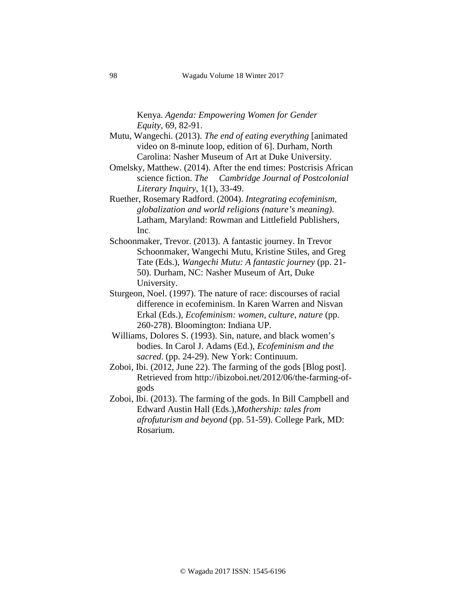Kenya. *Agenda: Empowering Women for Gender Equity,* 69, 82-91.

- Mutu, Wangechi. (2013). *The end of eating everything* [animated video on 8-minute loop, edition of 6]. Durham, North Carolina: Nasher Museum of Art at Duke University.
- Omelsky, Matthew. (2014). After the end times: Postcrisis African science fiction. *The Cambridge Journal of Postcolonial Literary Inquiry*, 1(1), 33-49.
- Ruether, Rosemary Radford. (2004). *Integrating ecofeminism, globalization and world religions (nature's meaning)*. Latham, Maryland: Rowman and Littlefield Publishers, Inc.
- Schoonmaker, Trevor. (2013). A fantastic journey. In Trevor Schoonmaker, Wangechi Mutu, Kristine Stiles, and Greg Tate (Eds.), *Wangechi Mutu: A fantastic journey* (pp. 21- 50). Durham, NC: Nasher Museum of Art, Duke University.
- Sturgeon, Noel. (1997). The nature of race: discourses of racial difference in ecofeminism. In Karen Warren and Nisvan Erkal (Eds.), *Ecofeminism: women, culture, nature* (pp. 260-278). Bloomington: Indiana UP.
- Williams, Dolores S. (1993). Sin, nature, and black women's bodies. In Carol J. Adams (Ed.), *Ecofeminism and the sacred*. (pp. 24-29). New York: Continuum.
- Zoboi, Ibi. (2012, June 22). The farming of the gods [Blog post]. Retrieved from [http://ibizoboi.net/2012/06/the-farming-of](http://ibizoboi.net/2012/06/the-farming-of-gods)[gods](http://ibizoboi.net/2012/06/the-farming-of-gods)
- Zoboi, Ibi. (2013). The farming of the gods. In Bill Campbell and Edward Austin Hall (Eds.),*Mothership: tales from afrofuturism and beyond* (pp. 51-59). College Park, MD: Rosarium.